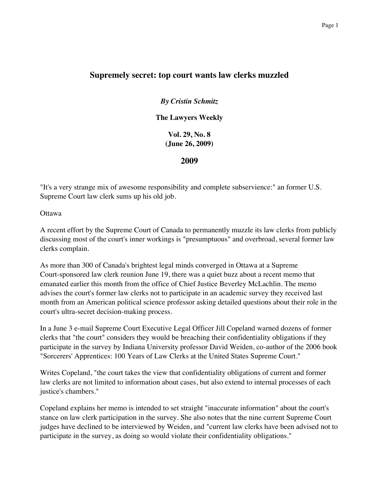## **Supremely secret: top court wants law clerks muzzled**

*By Cristin Schmitz*

**The Lawyers Weekly**

**Vol. 29, No. 8 (June 26, 2009)**

**2009**

"It's a very strange mix of awesome responsibility and complete subservience:" an former U.S. Supreme Court law clerk sums up his old job.

Ottawa

A recent effort by the Supreme Court of Canada to permanently muzzle its law clerks from publicly discussing most of the court's inner workings is "presumptuous" and overbroad, several former law clerks complain.

As more than 300 of Canada's brightest legal minds converged in Ottawa at a Supreme Court-sponsored law clerk reunion June 19, there was a quiet buzz about a recent memo that emanated earlier this month from the office of Chief Justice Beverley McLachlin. The memo advises the court's former law clerks not to participate in an academic survey they received last month from an American political science professor asking detailed questions about their role in the court's ultra-secret decision-making process.

In a June 3 e-mail Supreme Court Executive Legal Officer Jill Copeland warned dozens of former clerks that "the court" considers they would be breaching their confidentiality obligations if they participate in the survey by Indiana University professor David Weiden, co-author of the 2006 book "Sorcerers' Apprentices: 100 Years of Law Clerks at the United States Supreme Court."

Writes Copeland, "the court takes the view that confidentiality obligations of current and former law clerks are not limited to information about cases, but also extend to internal processes of each justice's chambers."

Copeland explains her memo is intended to set straight "inaccurate information" about the court's stance on law clerk participation in the survey. She also notes that the nine current Supreme Court judges have declined to be interviewed by Weiden, and "current law clerks have been advised not to participate in the survey, as doing so would violate their confidentiality obligations."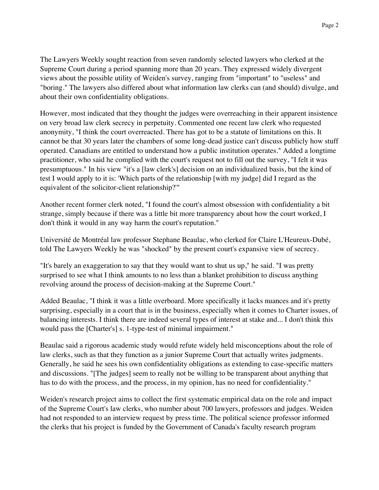The Lawyers Weekly sought reaction from seven randomly selected lawyers who clerked at the Supreme Court during a period spanning more than 20 years. They expressed widely divergent views about the possible utility of Weiden's survey, ranging from "important" to "useless" and "boring." The lawyers also differed about what information law clerks can (and should) divulge, and about their own confidentiality obligations.

However, most indicated that they thought the judges were overreaching in their apparent insistence on very broad law clerk secrecy in perpetuity. Commented one recent law clerk who requested anonymity, "I think the court overreacted. There has got to be a statute of limitations on this. It cannot be that 30 years later the chambers of some long-dead justice can't discuss publicly how stuff operated. Canadians are entitled to understand how a public institution operates." Added a longtime practitioner, who said he complied with the court's request not to fill out the survey, "I felt it was presumptuous." In his view "it's a [law clerk's] decision on an individualized basis, but the kind of test I would apply to it is: 'Which parts of the relationship [with my judge] did I regard as the equivalent of the solicitor-client relationship?'"

Another recent former clerk noted, "I found the court's almost obsession with confidentiality a bit strange, simply because if there was a little bit more transparency about how the court worked, I don't think it would in any way harm the court's reputation."

Université de Montréal law professor Stephane Beaulac, who clerked for Claire L'Heureux-Dubé, told The Lawyers Weekly he was "shocked" by the present court's expansive view of secrecy.

"It's barely an exaggeration to say that they would want to shut us up," he said. "I was pretty surprised to see what I think amounts to no less than a blanket prohibition to discuss anything revolving around the process of decision-making at the Supreme Court."

Added Beaulac, "I think it was a little overboard. More specifically it lacks nuances and it's pretty surprising, especially in a court that is in the business, especially when it comes to Charter issues, of balancing interests. I think there are indeed several types of interest at stake and... I don't think this would pass the [Charter's] s. 1-type-test of minimal impairment."

Beaulac said a rigorous academic study would refute widely held misconceptions about the role of law clerks, such as that they function as a junior Supreme Court that actually writes judgments. Generally, he said he sees his own confidentiality obligations as extending to case-specific matters and discussions. "[The judges] seem to really not be willing to be transparent about anything that has to do with the process, and the process, in my opinion, has no need for confidentiality."

Weiden's research project aims to collect the first systematic empirical data on the role and impact of the Supreme Court's law clerks, who number about 700 lawyers, professors and judges. Weiden had not responded to an interview request by press time. The political science professor informed the clerks that his project is funded by the Government of Canada's faculty research program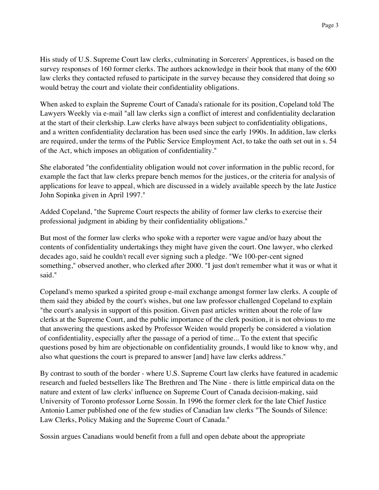His study of U.S. Supreme Court law clerks, culminating in Sorcerers' Apprentices, is based on the survey responses of 160 former clerks. The authors acknowledge in their book that many of the 600 law clerks they contacted refused to participate in the survey because they considered that doing so would betray the court and violate their confidentiality obligations.

When asked to explain the Supreme Court of Canada's rationale for its position, Copeland told The Lawyers Weekly via e-mail "all law clerks sign a conflict of interest and confidentiality declaration at the start of their clerkship. Law clerks have always been subject to confidentiality obligations, and a written confidentiality declaration has been used since the early 1990s. In addition, law clerks are required, under the terms of the Public Service Employment Act, to take the oath set out in s. 54 of the Act, which imposes an obligation of confidentiality."

She elaborated "the confidentiality obligation would not cover information in the public record, for example the fact that law clerks prepare bench memos for the justices, or the criteria for analysis of applications for leave to appeal, which are discussed in a widely available speech by the late Justice John Sopinka given in April 1997."

Added Copeland, "the Supreme Court respects the ability of former law clerks to exercise their professional judgment in abiding by their confidentiality obligations."

But most of the former law clerks who spoke with a reporter were vague and/or hazy about the contents of confidentiality undertakings they might have given the court. One lawyer, who clerked decades ago, said he couldn't recall ever signing such a pledge. "We 100-per-cent signed something," observed another, who clerked after 2000. "I just don't remember what it was or what it said."

Copeland's memo sparked a spirited group e-mail exchange amongst former law clerks. A couple of them said they abided by the court's wishes, but one law professor challenged Copeland to explain "the court's analysis in support of this position. Given past articles written about the role of law clerks at the Supreme Court, and the public importance of the clerk position, it is not obvious to me that answering the questions asked by Professor Weiden would properly be considered a violation of confidentiality, especially after the passage of a period of time... To the extent that specific questions posed by him are objectionable on confidentiality grounds, I would like to know why, and also what questions the court is prepared to answer [and] have law clerks address."

By contrast to south of the border - where U.S. Supreme Court law clerks have featured in academic research and fueled bestsellers like The Brethren and The Nine - there is little empirical data on the nature and extent of law clerks' influence on Supreme Court of Canada decision-making, said University of Toronto professor Lorne Sossin. In 1996 the former clerk for the late Chief Justice Antonio Lamer published one of the few studies of Canadian law clerks "The Sounds of Silence: Law Clerks, Policy Making and the Supreme Court of Canada."

Sossin argues Canadians would benefit from a full and open debate about the appropriate